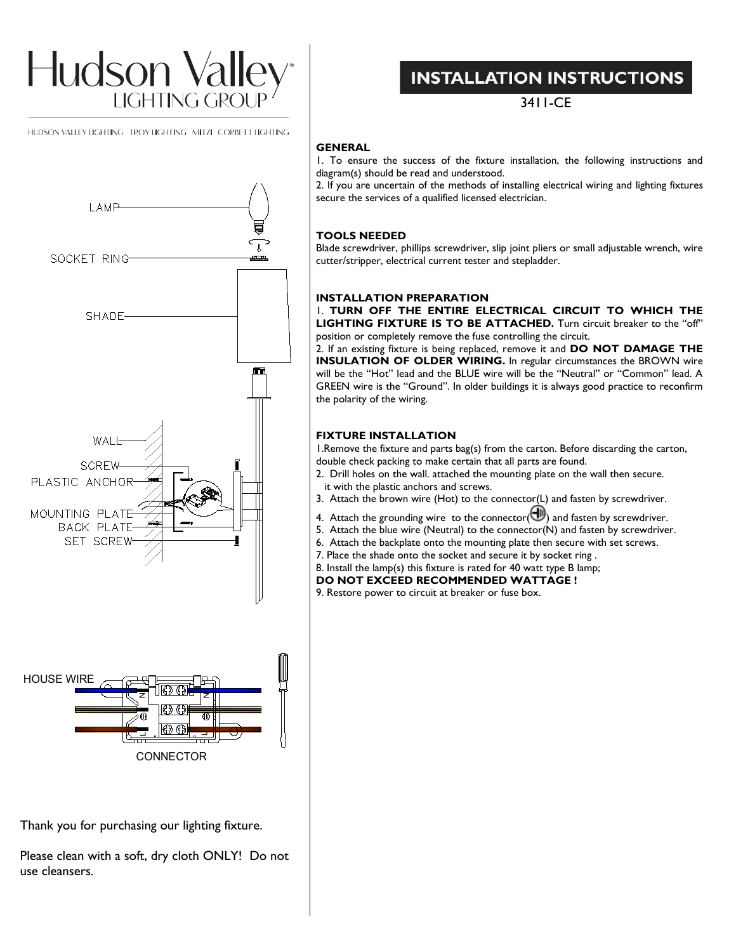

HUDSON VALLEY LIGHTING TROY LIGHTING MITZI CORBETT LIGHTING



Thank you for purchasing our lighting fixture.

Please clean with a soft, dry cloth ONLY! Do not use cleansers.

## **INSTALLATION INSTRUCTIONS**

3411-CE

### **GENERAL**

1. To ensure the success of the fixture installation, the following instructions and diagram(s) should be read and understood.

2. If you are uncertain of the methods of installing electrical wiring and lighting fixtures secure the services of a qualified licensed electrician.

### **TOOLS NEEDED**

Blade screwdriver, phillips screwdriver, slip joint pliers or small adjustable wrench, wire cutter/stripper, electrical current tester and stepladder.

### **INSTALLATION PREPARATION**

1. **TURN OFF THE ENTIRE ELECTRICAL CIRCUIT TO WHICH THE LIGHTING FIXTURE IS TO BE ATTACHED.** Turn circuit breaker to the "off" position or completely remove the fuse controlling the circuit.

2. If an existing fixture is being replaced, remove it and **DO NOT DAMAGE THE INSULATION OF OLDER WIRING.** In regular circumstances the BROWN wire will be the "Hot" lead and the BLUE wire will be the "Neutral" or "Common" lead. A GREEN wire is the "Ground". In older buildings it is always good practice to reconfirm the polarity of the wiring.

### **FIXTURE INSTALLATION**

1.Remove the fixture and parts bag(s) from the carton. Before discarding the carton, double check packing to make certain that all parts are found.

- 2. Drill holes on the wall. attached the mounting plate on the wall then secure. it with the plastic anchors and screws.
- 3. Attach the brown wire (Hot) to the connector(L) and fasten by screwdriver.
- 4. Attach the grounding wire to the connector( $\bigoplus$ ) and fasten by screwdriver.
- 5. Attach the blue wire (Neutral) to the connector(N) and fasten by screwdriver.
- 6. Attach the backplate onto the mounting plate then secure with set screws.
- 7. Place the shade onto the socket and secure it by socket ring .
- 8. Install the lamp(s) this fixture is rated for 40 watt type B lamp;

**DO NOT EXCEED RECOMMENDED WATTAGE !**

9. Restore power to circuit at breaker or fuse box.